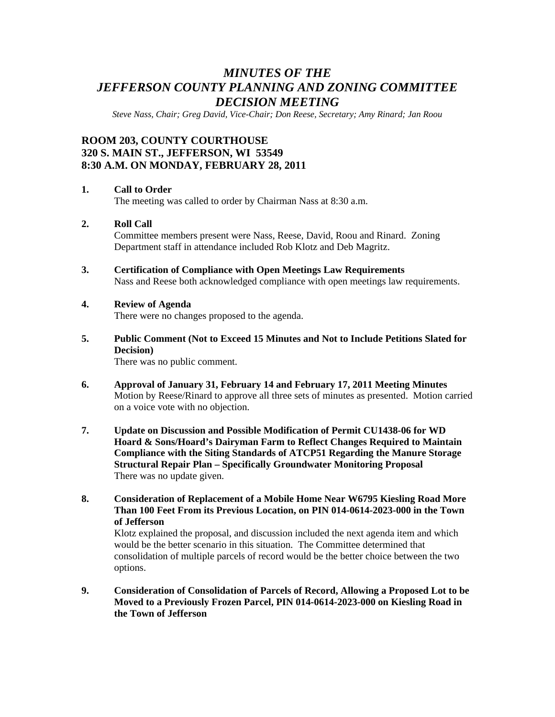# *MINUTES OF THE JEFFERSON COUNTY PLANNING AND ZONING COMMITTEE DECISION MEETING*

*Steve Nass, Chair; Greg David, Vice-Chair; Don Reese, Secretary; Amy Rinard; Jan Roou* 

# **ROOM 203, COUNTY COURTHOUSE 320 S. MAIN ST., JEFFERSON, WI 53549 8:30 A.M. ON MONDAY, FEBRUARY 28, 2011**

#### **1. Call to Order**

The meeting was called to order by Chairman Nass at 8:30 a.m.

#### **2. Roll Call**

Committee members present were Nass, Reese, David, Roou and Rinard. Zoning Department staff in attendance included Rob Klotz and Deb Magritz.

**3. Certification of Compliance with Open Meetings Law Requirements**  Nass and Reese both acknowledged compliance with open meetings law requirements.

#### **4. Review of Agenda**

There were no changes proposed to the agenda.

**5. Public Comment (Not to Exceed 15 Minutes and Not to Include Petitions Slated for Decision)** 

There was no public comment.

- **6. Approval of January 31, February 14 and February 17, 2011 Meeting Minutes**  Motion by Reese/Rinard to approve all three sets of minutes as presented. Motion carried on a voice vote with no objection.
- **7. Update on Discussion and Possible Modification of Permit CU1438-06 for WD Hoard & Sons/Hoard's Dairyman Farm to Reflect Changes Required to Maintain Compliance with the Siting Standards of ATCP51 Regarding the Manure Storage Structural Repair Plan – Specifically Groundwater Monitoring Proposal**  There was no update given.
- **8. Consideration of Replacement of a Mobile Home Near W6795 Kiesling Road More Than 100 Feet From its Previous Location, on PIN 014-0614-2023-000 in the Town of Jefferson**

Klotz explained the proposal, and discussion included the next agenda item and which would be the better scenario in this situation. The Committee determined that consolidation of multiple parcels of record would be the better choice between the two options.

**9. Consideration of Consolidation of Parcels of Record, Allowing a Proposed Lot to be Moved to a Previously Frozen Parcel, PIN 014-0614-2023-000 on Kiesling Road in the Town of Jefferson**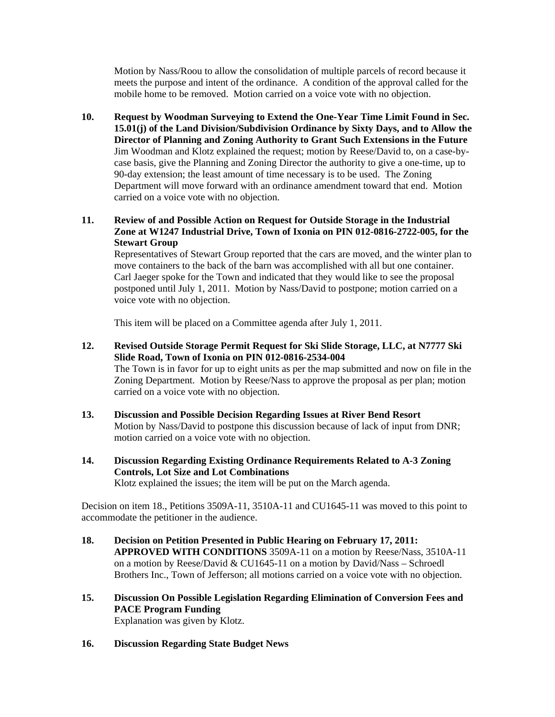Motion by Nass/Roou to allow the consolidation of multiple parcels of record because it meets the purpose and intent of the ordinance. A condition of the approval called for the mobile home to be removed. Motion carried on a voice vote with no objection.

**10. Request by Woodman Surveying to Extend the One-Year Time Limit Found in Sec. 15.01(j) of the Land Division/Subdivision Ordinance by Sixty Days, and to Allow the Director of Planning and Zoning Authority to Grant Such Extensions in the Future**  Jim Woodman and Klotz explained the request; motion by Reese/David to, on a case-bycase basis, give the Planning and Zoning Director the authority to give a one-time, up to 90-day extension; the least amount of time necessary is to be used. The Zoning Department will move forward with an ordinance amendment toward that end. Motion carried on a voice vote with no objection.

#### **11. Review of and Possible Action on Request for Outside Storage in the Industrial Zone at W1247 Industrial Drive, Town of Ixonia on PIN 012-0816-2722-005, for the Stewart Group**

Representatives of Stewart Group reported that the cars are moved, and the winter plan to move containers to the back of the barn was accomplished with all but one container. Carl Jaeger spoke for the Town and indicated that they would like to see the proposal postponed until July 1, 2011. Motion by Nass/David to postpone; motion carried on a voice vote with no objection.

This item will be placed on a Committee agenda after July 1, 2011.

- **12. Revised Outside Storage Permit Request for Ski Slide Storage, LLC, at N7777 Ski Slide Road, Town of Ixonia on PIN 012-0816-2534-004**  The Town is in favor for up to eight units as per the map submitted and now on file in the Zoning Department. Motion by Reese/Nass to approve the proposal as per plan; motion carried on a voice vote with no objection.
- **13. Discussion and Possible Decision Regarding Issues at River Bend Resort**  Motion by Nass/David to postpone this discussion because of lack of input from DNR; motion carried on a voice vote with no objection.
- **14. Discussion Regarding Existing Ordinance Requirements Related to A-3 Zoning Controls, Lot Size and Lot Combinations**  Klotz explained the issues; the item will be put on the March agenda.

Decision on item 18., Petitions 3509A-11, 3510A-11 and CU1645-11 was moved to this point to accommodate the petitioner in the audience.

- **18. Decision on Petition Presented in Public Hearing on February 17, 2011: APPROVED WITH CONDITIONS** 3509A-11 on a motion by Reese/Nass, 3510A-11 on a motion by Reese/David & CU1645-11 on a motion by David/Nass – Schroedl Brothers Inc., Town of Jefferson; all motions carried on a voice vote with no objection.
- **15. Discussion On Possible Legislation Regarding Elimination of Conversion Fees and PACE Program Funding**  Explanation was given by Klotz.
- **16. Discussion Regarding State Budget News**